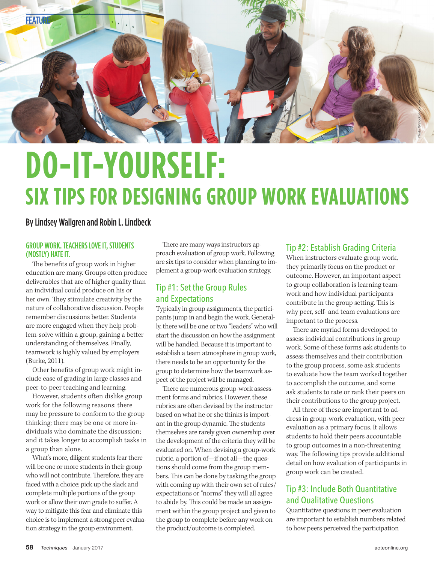

# **DO-IT-YOURSELF: SIX TIPS FOR DESIGNING GROUP WORK EVALUATIONS**

#### By Lindsey Wallgren and Robin L. Lindbeck

#### GROUP WORK. TEACHERS LOVE IT, STUDENTS (MOSTLY) HATE IT.

The benefits of group work in higher education are many. Groups often produce deliverables that are of higher quality than an individual could produce on his or her own. They stimulate creativity by the nature of collaborative discussion. People remember discussions better. Students are more engaged when they help problem-solve within a group, gaining a better understanding of themselves. Finally, teamwork is highly valued by employers (Burke, 2011).

Other benefits of group work might include ease of grading in large classes and peer-to-peer teaching and learning.

However, students often dislike group work for the following reasons: there may be pressure to conform to the group thinking; there may be one or more individuals who dominate the discussion; and it takes longer to accomplish tasks in a group than alone.

What's more, diligent students fear there will be one or more students in their group who will not contribute. Therefore, they are faced with a choice: pick up the slack and complete multiple portions of the group work or allow their own grade to suffer. A way to mitigate this fear and eliminate this choice is to implement a strong peer evaluation strategy in the group environment.

There are many ways instructors approach evaluation of group work. Following are six tips to consider when planning to implement a group-work evaluation strategy.

# Tip #1: Set the Group Rules and Expectations

Typically in group assignments, the participants jump in and begin the work. Generally, there will be one or two "leaders" who will start the discussion on how the assignment will be handled. Because it is important to establish a team atmosphere in group work, there needs to be an opportunity for the group to determine how the teamwork aspect of the project will be managed.

There are numerous group-work assessment forms and rubrics. However, these rubrics are often devised by the instructor based on what he or she thinks is important in the group dynamic. The students themselves are rarely given ownership over the development of the criteria they will be evaluated on. When devising a group-work rubric, a portion of—if not all—the questions should come from the group members. This can be done by tasking the group with coming up with their own set of rules/ expectations or "norms" they will all agree to abide by. This could be made an assignment within the group project and given to the group to complete before any work on the product/outcome is completed.

### Tip #2: Establish Grading Criteria

When instructors evaluate group work, they primarily focus on the product or outcome. However, an important aspect to group collaboration is learning teamwork and how individual participants contribute in the group setting. This is why peer, self- and team evaluations are important to the process.

There are myriad forms developed to assess individual contributions in group work. Some of these forms ask students to assess themselves and their contribution to the group process, some ask students to evaluate how the team worked together to accomplish the outcome, and some ask students to rate or rank their peers on their contributions to the group project.

All three of these are important to address in group-work evaluation, with peer evaluation as a primary focus. It allows students to hold their peers accountable to group outcomes in a non-threatening way. The following tips provide additional detail on how evaluation of participants in group work can be created.

## Tip #3: Include Both Quantitative and Qualitative Questions

Quantitative questions in peer evaluation are important to establish numbers related to how peers perceived the participation